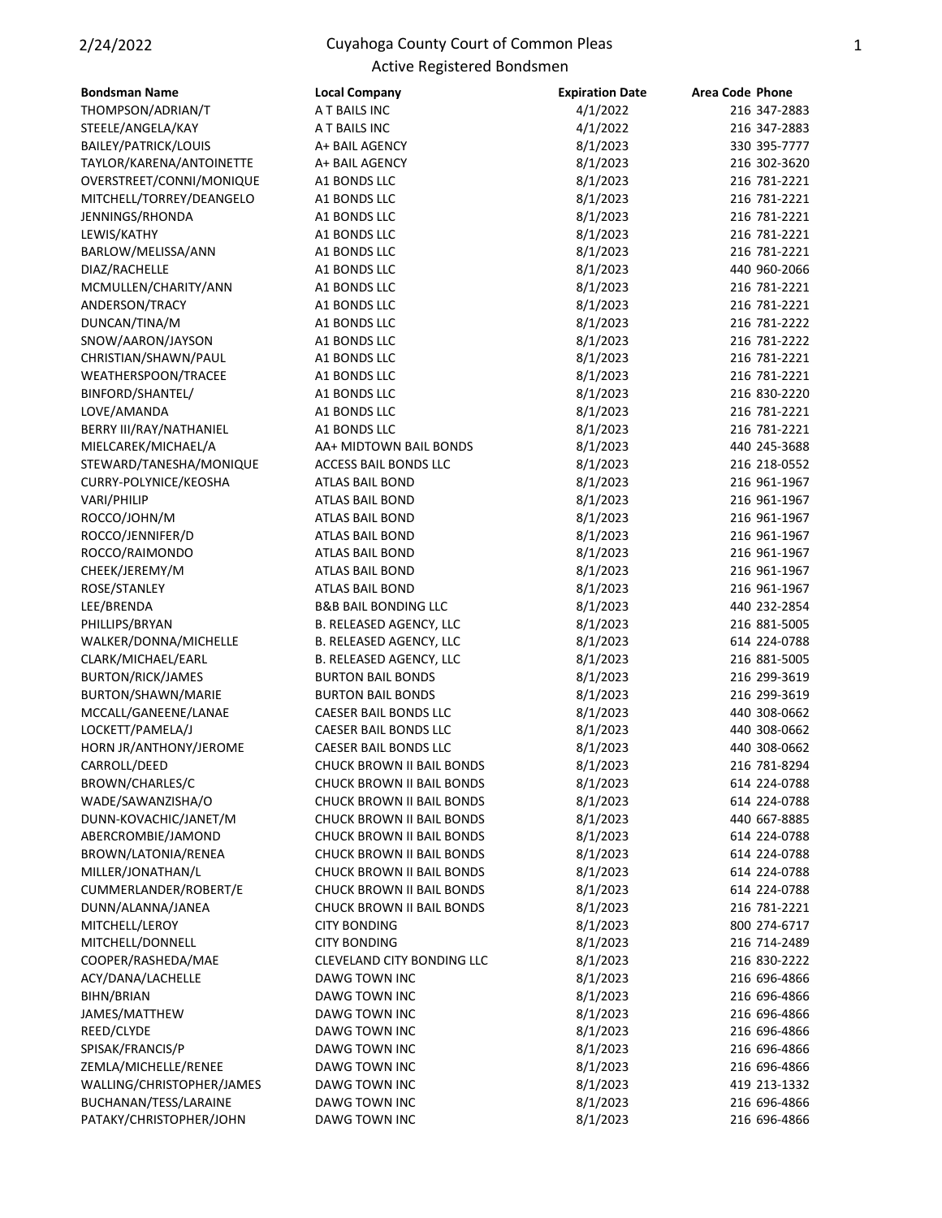## 2/24/2022 Cuyahoga County Court of Common Pleas Active Registered Bondsmen

| <b>Bondsman Name</b>      | <b>Local Company</b>              | <b>Expiration Date</b> | <b>Area Code Phone</b> |
|---------------------------|-----------------------------------|------------------------|------------------------|
| THOMPSON/ADRIAN/T         | A T BAILS INC                     | 4/1/2022               | 216 347-2883           |
| STEELE/ANGELA/KAY         | A T BAILS INC                     | 4/1/2022               | 216 347-2883           |
| BAILEY/PATRICK/LOUIS      | A+ BAIL AGENCY                    | 8/1/2023               | 330 395-7777           |
| TAYLOR/KARENA/ANTOINETTE  | A+ BAIL AGENCY                    | 8/1/2023               | 216 302-3620           |
| OVERSTREET/CONNI/MONIQUE  | A1 BONDS LLC                      | 8/1/2023               | 216 781-2221           |
| MITCHELL/TORREY/DEANGELO  | A1 BONDS LLC                      | 8/1/2023               | 216 781-2221           |
| JENNINGS/RHONDA           | A1 BONDS LLC                      | 8/1/2023               | 216 781-2221           |
| LEWIS/KATHY               | A1 BONDS LLC                      | 8/1/2023               | 216 781-2221           |
| BARLOW/MELISSA/ANN        | A1 BONDS LLC                      | 8/1/2023               | 216 781-2221           |
| DIAZ/RACHELLE             | A1 BONDS LLC                      | 8/1/2023               | 440 960-2066           |
| MCMULLEN/CHARITY/ANN      | A1 BONDS LLC                      | 8/1/2023               | 216 781-2221           |
| ANDERSON/TRACY            | A1 BONDS LLC                      | 8/1/2023               | 216 781-2221           |
| DUNCAN/TINA/M             | A1 BONDS LLC                      | 8/1/2023               | 216 781-2222           |
| SNOW/AARON/JAYSON         | A1 BONDS LLC                      | 8/1/2023               | 216 781-2222           |
| CHRISTIAN/SHAWN/PAUL      | A1 BONDS LLC                      | 8/1/2023               | 216 781-2221           |
| WEATHERSPOON/TRACEE       | A1 BONDS LLC                      | 8/1/2023               | 216 781-2221           |
| BINFORD/SHANTEL/          | A1 BONDS LLC                      | 8/1/2023               | 216 830-2220           |
| LOVE/AMANDA               | A1 BONDS LLC                      | 8/1/2023               | 216 781-2221           |
| BERRY III/RAY/NATHANIEL   | A1 BONDS LLC                      | 8/1/2023               | 216 781-2221           |
| MIELCAREK/MICHAEL/A       | AA+ MIDTOWN BAIL BONDS            | 8/1/2023               | 440 245-3688           |
| STEWARD/TANESHA/MONIQUE   | ACCESS BAIL BONDS LLC             | 8/1/2023               | 216 218-0552           |
|                           | ATLAS BAIL BOND                   | 8/1/2023               | 216 961-1967           |
| CURRY-POLYNICE/KEOSHA     |                                   |                        |                        |
| VARI/PHILIP               | <b>ATLAS BAIL BOND</b>            | 8/1/2023               | 216 961-1967           |
| ROCCO/JOHN/M              | <b>ATLAS BAIL BOND</b>            | 8/1/2023               | 216 961-1967           |
| ROCCO/JENNIFER/D          | ATLAS BAIL BOND                   | 8/1/2023               | 216 961-1967           |
| ROCCO/RAIMONDO            | ATLAS BAIL BOND                   | 8/1/2023               | 216 961-1967           |
| CHEEK/JEREMY/M            | ATLAS BAIL BOND                   | 8/1/2023               | 216 961-1967           |
| ROSE/STANLEY              | ATLAS BAIL BOND                   | 8/1/2023               | 216 961-1967           |
| LEE/BRENDA                | <b>B&amp;B BAIL BONDING LLC</b>   | 8/1/2023               | 440 232-2854           |
| PHILLIPS/BRYAN            | B. RELEASED AGENCY, LLC           | 8/1/2023               | 216 881-5005           |
| WALKER/DONNA/MICHELLE     | B. RELEASED AGENCY, LLC           | 8/1/2023               | 614 224-0788           |
| CLARK/MICHAEL/EARL        | B. RELEASED AGENCY, LLC           | 8/1/2023               | 216 881-5005           |
| <b>BURTON/RICK/JAMES</b>  | <b>BURTON BAIL BONDS</b>          | 8/1/2023               | 216 299-3619           |
| BURTON/SHAWN/MARIE        | <b>BURTON BAIL BONDS</b>          | 8/1/2023               | 216 299-3619           |
| MCCALL/GANEENE/LANAE      | CAESER BAIL BONDS LLC             | 8/1/2023               | 440 308-0662           |
| LOCKETT/PAMELA/J          | CAESER BAIL BONDS LLC             | 8/1/2023               | 440 308-0662           |
| HORN JR/ANTHONY/JEROME    | <b>CAESER BAIL BONDS LLC</b>      | 8/1/2023               | 440 308-0662           |
| CARROLL/DEED              | <b>CHUCK BROWN II BAIL BONDS</b>  | 8/1/2023               | 216 781-8294           |
| BROWN/CHARLES/C           | CHUCK BROWN II BAIL BONDS         | 8/1/2023               | 614 224-0788           |
| WADE/SAWANZISHA/O         | CHUCK BROWN II BAIL BONDS         | 8/1/2023               | 614 224-0788           |
| DUNN-KOVACHIC/JANET/M     | CHUCK BROWN II BAIL BONDS         | 8/1/2023               | 440 667-8885           |
| ABERCROMBIE/JAMOND        | CHUCK BROWN II BAIL BONDS         | 8/1/2023               | 614 224-0788           |
| BROWN/LATONIA/RENEA       | CHUCK BROWN II BAIL BONDS         | 8/1/2023               | 614 224-0788           |
| MILLER/JONATHAN/L         | CHUCK BROWN II BAIL BONDS         | 8/1/2023               | 614 224-0788           |
| CUMMERLANDER/ROBERT/E     | CHUCK BROWN II BAIL BONDS         | 8/1/2023               | 614 224-0788           |
| DUNN/ALANNA/JANEA         | CHUCK BROWN II BAIL BONDS         | 8/1/2023               | 216 781-2221           |
| MITCHELL/LEROY            | <b>CITY BONDING</b>               | 8/1/2023               | 800 274-6717           |
| MITCHELL/DONNELL          | <b>CITY BONDING</b>               | 8/1/2023               | 216 714-2489           |
| COOPER/RASHEDA/MAE        | <b>CLEVELAND CITY BONDING LLC</b> | 8/1/2023               | 216 830-2222           |
| ACY/DANA/LACHELLE         | DAWG TOWN INC                     | 8/1/2023               | 216 696-4866           |
| BIHN/BRIAN                | DAWG TOWN INC                     | 8/1/2023               | 216 696-4866           |
| JAMES/MATTHEW             | DAWG TOWN INC                     | 8/1/2023               | 216 696-4866           |
| REED/CLYDE                | DAWG TOWN INC                     | 8/1/2023               | 216 696-4866           |
| SPISAK/FRANCIS/P          | DAWG TOWN INC                     | 8/1/2023               | 216 696-4866           |
| ZEMLA/MICHELLE/RENEE      | DAWG TOWN INC                     | 8/1/2023               | 216 696-4866           |
| WALLING/CHRISTOPHER/JAMES | DAWG TOWN INC                     | 8/1/2023               | 419 213-1332           |
| BUCHANAN/TESS/LARAINE     | DAWG TOWN INC                     | 8/1/2023               | 216 696-4866           |
| PATAKY/CHRISTOPHER/JOHN   | DAWG TOWN INC                     | 8/1/2023               | 216 696-4866           |
|                           |                                   |                        |                        |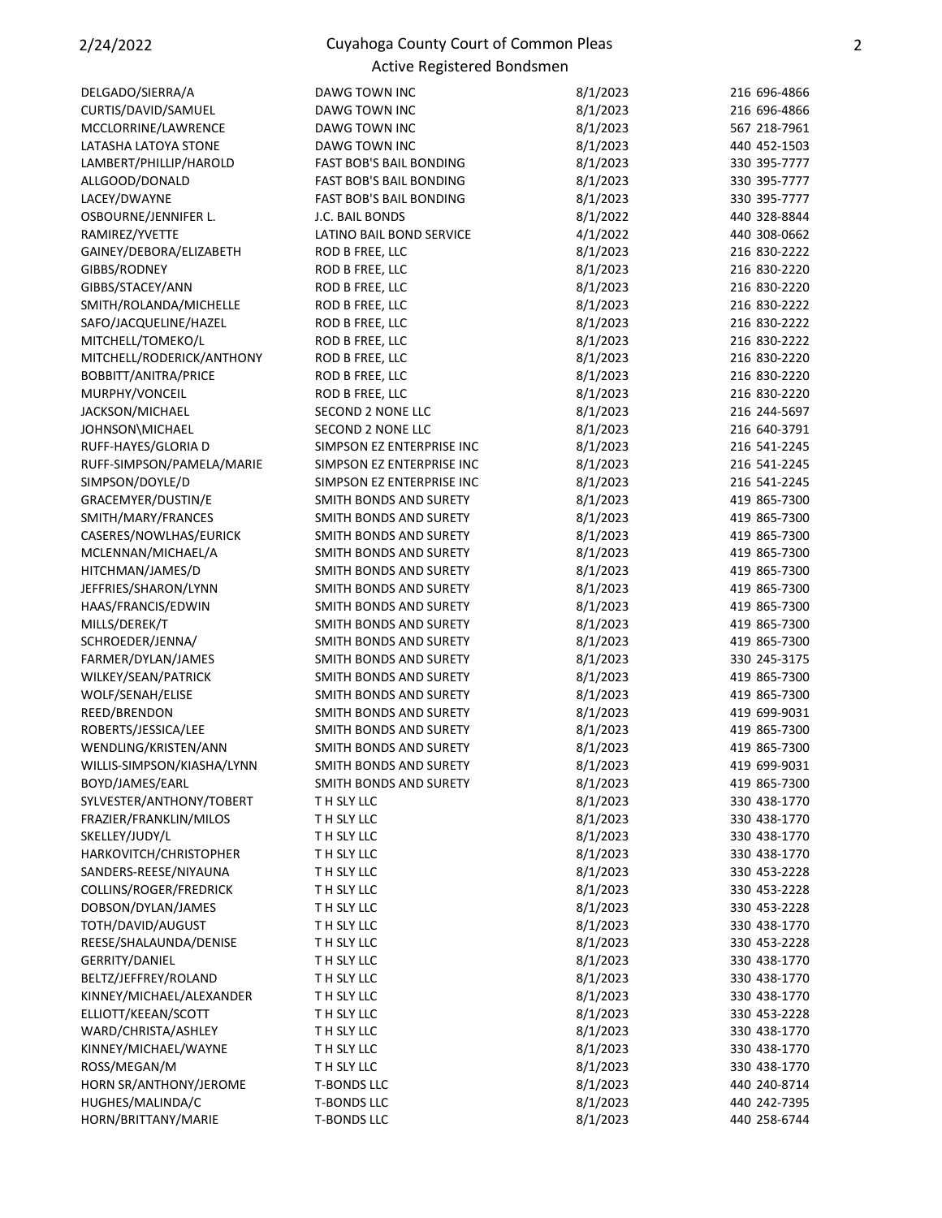## 2/24/2022 Cuyahoga County Court of Common Pleas Active Registered Bondsmen

| DELGADO/SIERRA/A           | DAWG TOWN INC                  | 8/1/2023 | 216 696-4866 |
|----------------------------|--------------------------------|----------|--------------|
| CURTIS/DAVID/SAMUEL        | DAWG TOWN INC                  | 8/1/2023 | 216 696-4866 |
| MCCLORRINE/LAWRENCE        | DAWG TOWN INC                  | 8/1/2023 | 567 218-7961 |
| LATASHA LATOYA STONE       | DAWG TOWN INC                  | 8/1/2023 | 440 452-1503 |
|                            | FAST BOB'S BAIL BONDING        |          |              |
| LAMBERT/PHILLIP/HAROLD     |                                | 8/1/2023 | 330 395-7777 |
| ALLGOOD/DONALD             | <b>FAST BOB'S BAIL BONDING</b> | 8/1/2023 | 330 395-7777 |
| LACEY/DWAYNE               | FAST BOB'S BAIL BONDING        | 8/1/2023 | 330 395-7777 |
| OSBOURNE/JENNIFER L.       | J.C. BAIL BONDS                | 8/1/2022 | 440 328-8844 |
| RAMIREZ/YVETTE             | LATINO BAIL BOND SERVICE       | 4/1/2022 | 440 308-0662 |
| GAINEY/DEBORA/ELIZABETH    | ROD B FREE, LLC                | 8/1/2023 | 216 830-2222 |
| GIBBS/RODNEY               | ROD B FREE, LLC                | 8/1/2023 | 216 830-2220 |
| GIBBS/STACEY/ANN           | ROD B FREE, LLC                | 8/1/2023 | 216 830-2220 |
| SMITH/ROLANDA/MICHELLE     | ROD B FREE, LLC                | 8/1/2023 | 216 830-2222 |
| SAFO/JACQUELINE/HAZEL      | ROD B FREE, LLC                | 8/1/2023 | 216 830-2222 |
| MITCHELL/TOMEKO/L          | ROD B FREE, LLC                | 8/1/2023 | 216 830-2222 |
| MITCHELL/RODERICK/ANTHONY  | ROD B FREE, LLC                | 8/1/2023 | 216 830-2220 |
| BOBBITT/ANITRA/PRICE       | ROD B FREE, LLC                | 8/1/2023 | 216 830-2220 |
| MURPHY/VONCEIL             | ROD B FREE, LLC                | 8/1/2023 | 216 830-2220 |
| JACKSON/MICHAEL            | <b>SECOND 2 NONE LLC</b>       | 8/1/2023 | 216 244-5697 |
| JOHNSON\MICHAEL            | SECOND 2 NONE LLC              | 8/1/2023 | 216 640-3791 |
| RUFF-HAYES/GLORIA D        | SIMPSON EZ ENTERPRISE INC      | 8/1/2023 | 216 541-2245 |
| RUFF-SIMPSON/PAMELA/MARIE  | SIMPSON EZ ENTERPRISE INC      | 8/1/2023 | 216 541-2245 |
| SIMPSON/DOYLE/D            | SIMPSON EZ ENTERPRISE INC      | 8/1/2023 | 216 541-2245 |
| GRACEMYER/DUSTIN/E         | SMITH BONDS AND SURETY         |          | 419 865-7300 |
|                            |                                | 8/1/2023 |              |
| SMITH/MARY/FRANCES         | SMITH BONDS AND SURETY         | 8/1/2023 | 419 865-7300 |
| CASERES/NOWLHAS/EURICK     | SMITH BONDS AND SURETY         | 8/1/2023 | 419 865-7300 |
| MCLENNAN/MICHAEL/A         | SMITH BONDS AND SURETY         | 8/1/2023 | 419 865-7300 |
| HITCHMAN/JAMES/D           | SMITH BONDS AND SURETY         | 8/1/2023 | 419 865-7300 |
| JEFFRIES/SHARON/LYNN       | SMITH BONDS AND SURETY         | 8/1/2023 | 419 865-7300 |
| HAAS/FRANCIS/EDWIN         | SMITH BONDS AND SURETY         | 8/1/2023 | 419 865-7300 |
| MILLS/DEREK/T              | SMITH BONDS AND SURETY         | 8/1/2023 | 419 865-7300 |
| SCHROEDER/JENNA/           | SMITH BONDS AND SURETY         | 8/1/2023 | 419 865-7300 |
| FARMER/DYLAN/JAMES         | SMITH BONDS AND SURETY         | 8/1/2023 | 330 245-3175 |
| WILKEY/SEAN/PATRICK        | SMITH BONDS AND SURETY         | 8/1/2023 | 419 865-7300 |
| WOLF/SENAH/ELISE           | SMITH BONDS AND SURETY         | 8/1/2023 | 419 865-7300 |
| REED/BRENDON               | SMITH BONDS AND SURETY         | 8/1/2023 | 419 699-9031 |
| ROBERTS/JESSICA/LEE        | SMITH BONDS AND SURETY         | 8/1/2023 | 419 865-7300 |
| WENDLING/KRISTEN/ANN       | SMITH BONDS AND SURETY         | 8/1/2023 | 419 865-7300 |
| WILLIS-SIMPSON/KIASHA/LYNN | SMITH BONDS AND SURETY         | 8/1/2023 | 419 699-9031 |
| BOYD/JAMES/EARL            | SMITH BONDS AND SURETY         | 8/1/2023 | 419 865-7300 |
| SYLVESTER/ANTHONY/TOBERT   | TH SLY LLC                     | 8/1/2023 | 330 438-1770 |
| FRAZIER/FRANKLIN/MILOS     | T H SLY LLC                    | 8/1/2023 | 330 438-1770 |
| SKELLEY/JUDY/L             | TH SLY LLC                     | 8/1/2023 | 330 438-1770 |
| HARKOVITCH/CHRISTOPHER     | T H SLY LLC                    | 8/1/2023 | 330 438-1770 |
| SANDERS-REESE/NIYAUNA      | T H SLY LLC                    |          |              |
|                            |                                | 8/1/2023 | 330 453-2228 |
| COLLINS/ROGER/FREDRICK     | TH SLY LLC                     | 8/1/2023 | 330 453-2228 |
| DOBSON/DYLAN/JAMES         | TH SLY LLC                     | 8/1/2023 | 330 453-2228 |
| TOTH/DAVID/AUGUST          | T H SLY LLC                    | 8/1/2023 | 330 438-1770 |
| REESE/SHALAUNDA/DENISE     | TH SLY LLC                     | 8/1/2023 | 330 453-2228 |
| <b>GERRITY/DANIEL</b>      | TH SLY LLC                     | 8/1/2023 | 330 438-1770 |
| BELTZ/JEFFREY/ROLAND       | T H SLY LLC                    | 8/1/2023 | 330 438-1770 |
| KINNEY/MICHAEL/ALEXANDER   | T H SLY LLC                    | 8/1/2023 | 330 438-1770 |
| ELLIOTT/KEEAN/SCOTT        | TH SLY LLC                     | 8/1/2023 | 330 453-2228 |
| WARD/CHRISTA/ASHLEY        | TH SLY LLC                     | 8/1/2023 | 330 438-1770 |
| KINNEY/MICHAEL/WAYNE       | T H SLY LLC                    | 8/1/2023 | 330 438-1770 |
| ROSS/MEGAN/M               | TH SLY LLC                     | 8/1/2023 | 330 438-1770 |
| HORN SR/ANTHONY/JEROME     | <b>T-BONDS LLC</b>             | 8/1/2023 | 440 240-8714 |
| HUGHES/MALINDA/C           | <b>T-BONDS LLC</b>             | 8/1/2023 | 440 242-7395 |
| HORN/BRITTANY/MARIE        | <b>T-BONDS LLC</b>             | 8/1/2023 | 440 258-6744 |
|                            |                                |          |              |